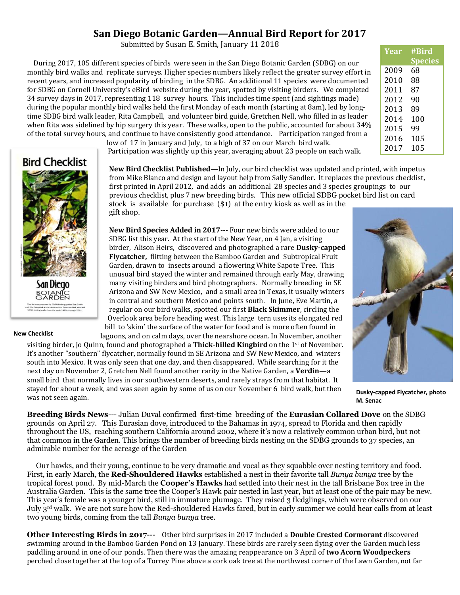## **San Diego Botanic Garden—Annual Bird Report for 2017**

Submitted by Susan E. Smith, January 11 2018

 During 2017, 105 different species of birds were seen in the San Diego Botanic Garden (SDBG) on our monthly bird walks and replicate surveys. Higher species numbers likely reflect the greater survey effort in recent years, and increased popularity of birding in the SDBG. An additional 11 species were documented for SDBG on Cornell University's eBird website during the year, spotted by visiting birders. We completed 34 survey days in 2017, representing 118 survey hours. This includes time spent (and sightings made) during the popular monthly bird walks held the first Monday of each month (starting at 8am), led by longtime SDBG bird walk leader, Rita Campbell, and volunteer bird guide, Gretchen Nell, who filled in as leader when Rita was sidelined by hip surgery this year. These walks, open to the public, accounted for about 34% of the total survey hours, and continue to have consistently good attendance. Participation ranged from a

> low of 17 in January and July, to a high of 37 on our March bird walk. Participation was slightly up this year, averaging about 23 people on each walk.

**New Bird Checklist Published—**In July, our bird checklist was updated and printed, with impetus from Mike Blanco and design and layout help from Sally Sandler. It replaces the previous checklist, first printed in April 2012, and adds an additional 28 species and 3 species groupings to our previous checklist, plus 7 new breeding birds. This new official SDBG pocket bird list on card stock is available for purchase (\$1) at the entry kiosk as well as in the gift shop.

**New Bird Species Added in 2017---** Four new birds were added to our SDBG list this year. At the start of the New Year, on 4 Jan, a visiting birder, Alison Heirs, discovered and photographed a rare **Dusky-capped Flycatcher,** flitting between the Bamboo Garden and Subtropical Fruit Garden, drawn to insects around a flowering White Sapote Tree. This unusual bird stayed the winter and remained through early May, drawing many visiting birders and bird photographers. Normally breeding in SE Arizona and SW New Mexico, and a small area in Texas, it usually winters in central and southern Mexico and points south. In June, Eve Martin, a regular on our bird walks, spotted our first **Black Skimmer**, circling the Overlook area before heading west. This large tern uses its elongated red bill to 'skim' the surface of the water for food and is more often found in

lagoons, and on calm days, over the nearshore ocean. In November, another visiting birder, Jo Quinn, found and photographed a **Thick-billed Kingbird** on the 1st of November. It's another "southern" flycatcher, normally found in SE Arizona and SW New Mexico, and winters south into Mexico. It was only seen that one day, and then disappeared. While searching for it the next day on November 2, Gretchen Nell found another rarity in the Native Garden, a **Verdin—**a small bird that normally lives in our southwestern deserts, and rarely strays from that habitat. It stayed for about a week, and was seen again by some of us on our November 6 bird walk, but then was not seen again.

## **Dusky-capped Flycatcher, photo M. Senac**

**Breeding Birds News**--- Julian Duval confirmed first-time breeding of the **Eurasian Collared Dove** on the SDBG grounds on April 27. This Eurasian dove, introduced to the Bahamas in 1974, spread to Florida and then rapidly throughout the US, reaching southern California around 2002, where it's now a relatively common urban bird, but not that common in the Garden. This brings the number of breeding birds nesting on the SDBG grounds to 37 species, an admirable number for the acreage of the Garden

 Our hawks, and their young, continue to be very dramatic and vocal as they squabble over nesting territory and food. First, in early March, the **Red-Shouldered Hawks** established a nest in their favorite tall *Bunya bunya* tree by the tropical forest pond. By mid-March the **Cooper's Hawks** had settled into their nest in the tall Brisbane Box tree in the Australia Garden. This is the same tree the Cooper's Hawk pair nested in last year, but at least one of the pair may be new. This year's female was a younger bird, still in immature plumage. They raised 3 fledglings, which were observed on our July 3rd walk. We are not sure how the Red-shouldered Hawks fared, but in early summer we could hear calls from at least two young birds, coming from the tall *Bunya bunya* tree.

**Other Interesting Birds in 2017---** Other bird surprises in 2017 included a **Double Crested Cormorant** discovered swimming around in the Bamboo Garden Pond on 13 January. These birds are rarely seen flying over the Garden much less paddling around in one of our ponds. Then there was the amazing reappearance on 3 April of **two Acorn Woodpeckers** perched close together at the top of a Torrey Pine above a cork oak tree at the northwest corner of the Lawn Garden, not far

| San Diego<br><b>BOTANIC</b><br>GARDEN |
|---------------------------------------|

**Bird Checklist** 

## **New Checklist**



| Year | #Bird<br><b>Species</b> |
|------|-------------------------|
| 2009 | 68                      |
| 2010 | 88                      |
| 2011 | 87                      |
| 2012 | 90                      |
| 2013 | 89                      |
| 2014 | 100                     |
| 2015 | 99                      |
| 2016 | 105                     |
| 2017 | 105                     |